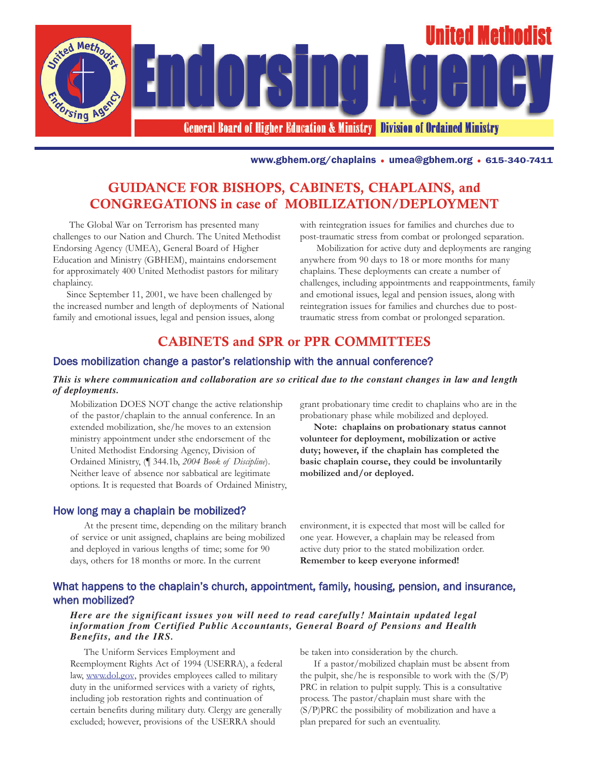

www.gbhem.org/chaplains • umea@gbhem.org • 615-340-7411

# GUIDANCE FOR BISHOPS, CABINETS, CHAPLAINS, and CONGREGATIONS in case of MOBILIZATION/DEPLOYMENT

The Global War on Terrorism has presented many challenges to our Nation and Church. The United Methodist Endorsing Agency (UMEA), General Board of Higher Education and Ministry (GBHEM), maintains endorsement for approximately 400 United Methodist pastors for military chaplaincy.

Since September 11, 2001, we have been challenged by the increased number and length of deployments of National family and emotional issues, legal and pension issues, along

with reintegration issues for families and churches due to post-traumatic stress from combat or prolonged separation.

Mobilization for active duty and deployments are ranging anywhere from 90 days to 18 or more months for many chaplains. These deployments can create a number of challenges, including appointments and reappointments, family and emotional issues, legal and pension issues, along with reintegration issues for families and churches due to posttraumatic stress from combat or prolonged separation.

## CABINETS and SPR or PPR COMMITTEES

### Does mobilization change a pastor's relationship with the annual conference?

### *This is where communication and collaboration are so critical due to the constant changes in law and length of deployments.*

Mobilization DOES NOT change the active relationship of the pastor/chaplain to the annual conference. In an extended mobilization, she/he moves to an extension ministry appointment under sthe endorsement of the United Methodist Endorsing Agency, Division of Ordained Ministry, (¶ 344.1b, *2004 Book of Discipline*). Neither leave of absence nor sabbatical are legitimate options. It is requested that Boards of Ordained Ministry,

### How long may a chaplain be mobilized?

At the present time, depending on the military branch of service or unit assigned, chaplains are being mobilized and deployed in various lengths of time; some for 90 days, others for 18 months or more. In the current

grant probationary time credit to chaplains who are in the probationary phase while mobilized and deployed.

**Note: chaplains on probationary status cannot volunteer for deployment, mobilization or active duty; however, if the chaplain has completed the basic chaplain course, they could be involuntarily mobilized and/or deployed.**

environment, it is expected that most will be called for one year. However, a chaplain may be released from active duty prior to the stated mobilization order. **Remember to keep everyone informed!**

## What happens to the chaplain's church, appointment, family, housing, pension, and insurance, when mobilized?

### *Here are the significant issues you will need to read carefully! Maintain updated legal information from Certified Public Accountants, General Board of Pensions and Health Benefits, and the IRS.*

The Uniform Services Employment and Reemployment Rights Act of 1994 (USERRA), a federal law, www.dol.gov, provides employees called to military duty in the uniformed services with a variety of rights, including job restoration rights and continuation of certain benefits during military duty. Clergy are generally excluded; however, provisions of the USERRA should

be taken into consideration by the church.

If a pastor/mobilized chaplain must be absent from the pulpit, she/he is responsible to work with the  $(S/P)$ PRC in relation to pulpit supply. This is a consultative process. The pastor/chaplain must share with the (S/P)PRC the possibility of mobilization and have a plan prepared for such an eventuality.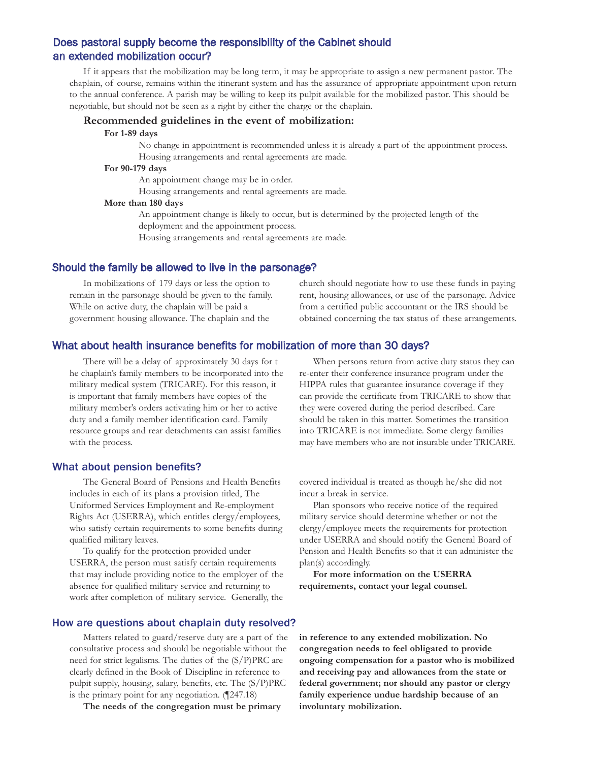## Does pastoral supply become the responsibility of the Cabinet should an extended mobilization occur?

If it appears that the mobilization may be long term, it may be appropriate to assign a new permanent pastor. The chaplain, of course, remains within the itinerant system and has the assurance of appropriate appointment upon return to the annual conference. A parish may be willing to keep its pulpit available for the mobilized pastor. This should be negotiable, but should not be seen as a right by either the charge or the chaplain.

#### **Recommended guidelines in the event of mobilization:**

#### **For 1-89 days**

No change in appointment is recommended unless it is already a part of the appointment process. Housing arrangements and rental agreements are made.

#### **For 90-179 days**

An appointment change may be in order.

Housing arrangements and rental agreements are made.

#### **More than 180 days**

An appointment change is likely to occur, but is determined by the projected length of the deployment and the appointment process.

Housing arrangements and rental agreements are made.

### Should the family be allowed to live in the parsonage?

In mobilizations of 179 days or less the option to remain in the parsonage should be given to the family. While on active duty, the chaplain will be paid a government housing allowance. The chaplain and the

church should negotiate how to use these funds in paying rent, housing allowances, or use of the parsonage. Advice from a certified public accountant or the IRS should be obtained concerning the tax status of these arrangements.

### What about health insurance benefits for mobilization of more than 30 days?

There will be a delay of approximately 30 days for t he chaplain's family members to be incorporated into the military medical system (TRICARE). For this reason, it is important that family members have copies of the military member's orders activating him or her to active duty and a family member identification card. Family resource groups and rear detachments can assist families with the process.

### What about pension benefits?

The General Board of Pensions and Health Benefits includes in each of its plans a provision titled, The Uniformed Services Employment and Re-employment Rights Act (USERRA), which entitles clergy/employees, who satisfy certain requirements to some benefits during qualified military leaves.

To qualify for the protection provided under USERRA, the person must satisfy certain requirements that may include providing notice to the employer of the absence for qualified military service and returning to work after completion of military service. Generally, the

When persons return from active duty status they can re-enter their conference insurance program under the HIPPA rules that guarantee insurance coverage if they can provide the certificate from TRICARE to show that they were covered during the period described. Care should be taken in this matter. Sometimes the transition into TRICARE is not immediate. Some clergy families may have members who are not insurable under TRICARE.

covered individual is treated as though he/she did not incur a break in service.

Plan sponsors who receive notice of the required military service should determine whether or not the clergy/employee meets the requirements for protection under USERRA and should notify the General Board of Pension and Health Benefits so that it can administer the plan(s) accordingly.

**For more information on the USERRA requirements, contact your legal counsel.**

### How are questions about chaplain duty resolved?

Matters related to guard/reserve duty are a part of the consultative process and should be negotiable without the need for strict legalisms. The duties of the (S/P)PRC are clearly defined in the Book of Discipline in reference to pulpit supply, housing, salary, benefits, etc. The (S/P)PRC is the primary point for any negotiation. (¶247.18)

**The needs of the congregation must be primary**

**in reference to any extended mobilization. No congregation needs to feel obligated to provide ongoing compensation for a pastor who is mobilized and receiving pay and allowances from the state or federal government; nor should any pastor or clergy family experience undue hardship because of an involuntary mobilization.**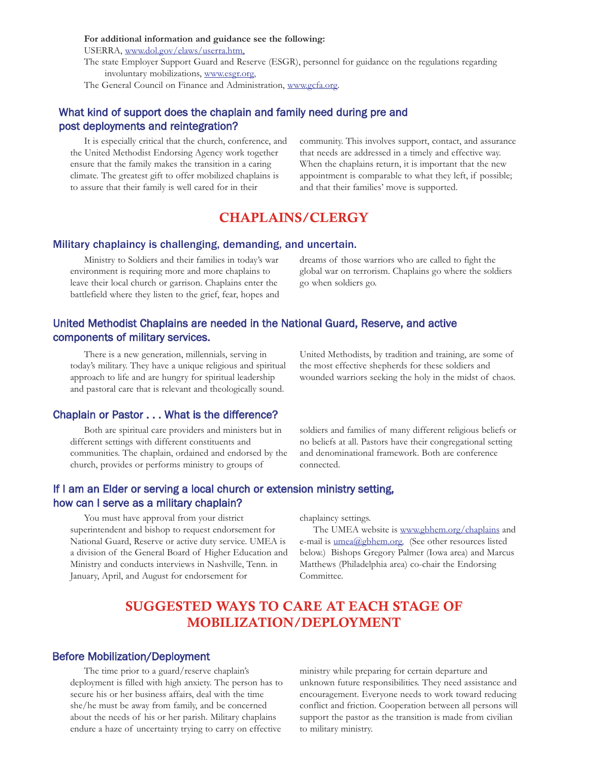**For additional information and guidance see the following:**

USERRA, www.dol.gov/elaws/userra.htm,

The state Employer Support Guard and Reserve (ESGR), personnel for guidance on the regulations regarding involuntary mobilizations, www.esgr.org,

The General Council on Finance and Administration, www.gcfa.org.

## What kind of support does the chaplain and family need during pre and post deployments and reintegration?

It is especially critical that the church, conference, and the United Methodist Endorsing Agency work together ensure that the family makes the transition in a caring climate. The greatest gift to offer mobilized chaplains is to assure that their family is well cared for in their

community. This involves support, contact, and assurance that needs are addressed in a timely and effective way. When the chaplains return, it is important that the new appointment is comparable to what they left, if possible; and that their families' move is supported.

## CHAPLAINS/CLERGY

### Military chaplaincy is challenging, demanding, and uncertain.

Ministry to Soldiers and their families in today's war environment is requiring more and more chaplains to leave their local church or garrison. Chaplains enter the battlefield where they listen to the grief, fear, hopes and

dreams of those warriors who are called to fight the global war on terrorism. Chaplains go where the soldiers go when soldiers go.

## United Methodist Chaplains are needed in the National Guard, Reserve, and active components of military services.

There is a new generation, millennials, serving in today's military. They have a unique religious and spiritual approach to life and are hungry for spiritual leadership and pastoral care that is relevant and theologically sound.

United Methodists, by tradition and training, are some of the most effective shepherds for these soldiers and wounded warriors seeking the holy in the midst of chaos.

## Chaplain or Pastor . . . What is the difference?

Both are spiritual care providers and ministers but in different settings with different constituents and communities. The chaplain, ordained and endorsed by the church, provides or performs ministry to groups of

soldiers and families of many different religious beliefs or no beliefs at all. Pastors have their congregational setting and denominational framework. Both are conference connected.

## If I am an Elder or serving a local church or extension ministry setting, how can I serve as a military chaplain?

You must have approval from your district superintendent and bishop to request endorsement for National Guard, Reserve or active duty service. UMEA is a division of the General Board of Higher Education and Ministry and conducts interviews in Nashville, Tenn. in January, April, and August for endorsement for

chaplaincy settings.

The UMEA website is www.gbhem.org/chaplains and e-mail is  $umea@gbhem.org.$  (See other resources listed below.) Bishops Gregory Palmer (Iowa area) and Marcus Matthews (Philadelphia area) co-chair the Endorsing Committee.

# SUGGESTED WAYS TO CARE AT EACH STAGE OF MOBILIZATION/DEPLOYMENT

### Before Mobilization/Deployment

The time prior to a guard/reserve chaplain's deployment is filled with high anxiety. The person has to secure his or her business affairs, deal with the time she/he must be away from family, and be concerned about the needs of his or her parish. Military chaplains endure a haze of uncertainty trying to carry on effective

ministry while preparing for certain departure and unknown future responsibilities. They need assistance and encouragement. Everyone needs to work toward reducing conflict and friction. Cooperation between all persons will support the pastor as the transition is made from civilian to military ministry.